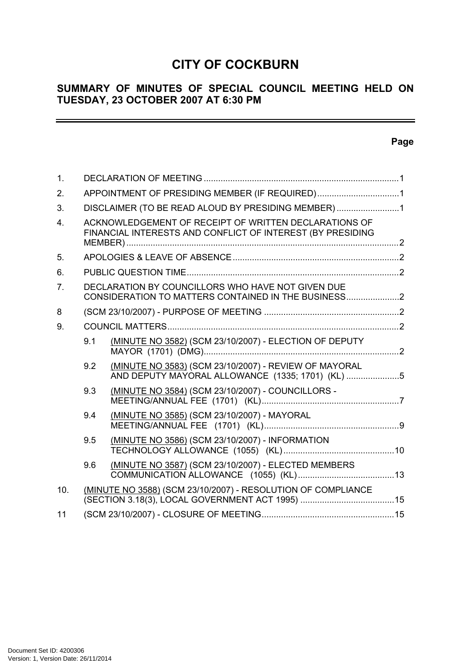# **CITY OF COCKBURN**

# **SUMMARY OF MINUTES OF SPECIAL COUNCIL MEETING HELD ON TUESDAY, 23 OCTOBER 2007 AT 6:30 PM**

## **Page**

-

| 1.               |                                                                                                                     |                                                                                                           |  |  |  |
|------------------|---------------------------------------------------------------------------------------------------------------------|-----------------------------------------------------------------------------------------------------------|--|--|--|
| 2.               | APPOINTMENT OF PRESIDING MEMBER (IF REQUIRED)1                                                                      |                                                                                                           |  |  |  |
| 3.               | DISCLAIMER (TO BE READ ALOUD BY PRESIDING MEMBER) 1                                                                 |                                                                                                           |  |  |  |
| $\overline{4}$ . | ACKNOWLEDGEMENT OF RECEIPT OF WRITTEN DECLARATIONS OF<br>FINANCIAL INTERESTS AND CONFLICT OF INTEREST (BY PRESIDING |                                                                                                           |  |  |  |
| 5.               |                                                                                                                     |                                                                                                           |  |  |  |
| 6.               |                                                                                                                     |                                                                                                           |  |  |  |
| 7 <sub>1</sub>   | DECLARATION BY COUNCILLORS WHO HAVE NOT GIVEN DUE<br>CONSIDERATION TO MATTERS CONTAINED IN THE BUSINESS2            |                                                                                                           |  |  |  |
| 8                |                                                                                                                     |                                                                                                           |  |  |  |
| 9.               |                                                                                                                     |                                                                                                           |  |  |  |
|                  | 9.1                                                                                                                 | (MINUTE NO 3582) (SCM 23/10/2007) - ELECTION OF DEPUTY                                                    |  |  |  |
|                  | 9.2                                                                                                                 | (MINUTE NO 3583) (SCM 23/10/2007) - REVIEW OF MAYORAL<br>AND DEPUTY MAYORAL ALLOWANCE (1335; 1701) (KL) 5 |  |  |  |
|                  | 9.3                                                                                                                 | (MINUTE NO 3584) (SCM 23/10/2007) - COUNCILLORS -                                                         |  |  |  |
|                  | 9.4                                                                                                                 | (MINUTE NO 3585) (SCM 23/10/2007) - MAYORAL                                                               |  |  |  |
|                  | 9.5                                                                                                                 | (MINUTE NO 3586) (SCM 23/10/2007) - INFORMATION                                                           |  |  |  |
|                  | 9.6                                                                                                                 | (MINUTE NO 3587) (SCM 23/10/2007) - ELECTED MEMBERS                                                       |  |  |  |
| 10.              | (MINUTE NO 3588) (SCM 23/10/2007) - RESOLUTION OF COMPLIANCE                                                        |                                                                                                           |  |  |  |
| 11               |                                                                                                                     |                                                                                                           |  |  |  |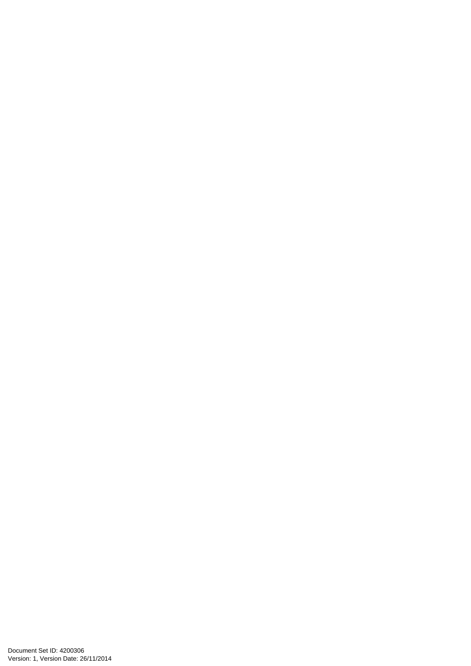Document Set ID: 4200306<br>Version: 1, Version Date: 26/11/2014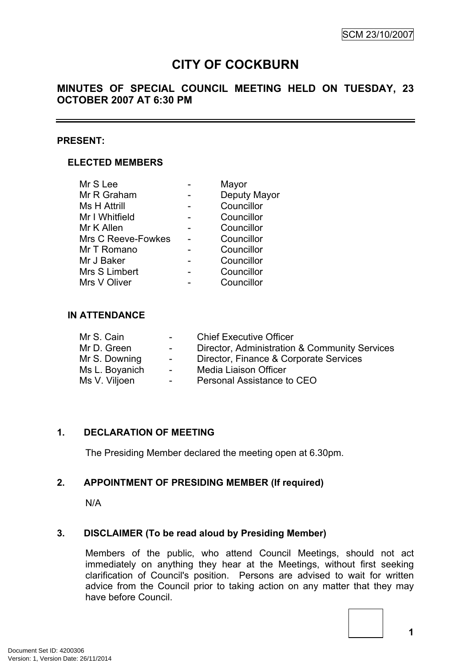# **CITY OF COCKBURN**

# **MINUTES OF SPECIAL COUNCIL MEETING HELD ON TUESDAY, 23 OCTOBER 2007 AT 6:30 PM**

#### **PRESENT:**

#### **ELECTED MEMBERS**

| Mr S Lee            | Mayor        |
|---------------------|--------------|
| Mr R Graham         | Deputy Mayor |
| <b>Ms H Attrill</b> | Councillor   |
| Mr I Whitfield      | Councillor   |
| Mr K Allen          | Councillor   |
| Mrs C Reeve-Fowkes  | Councillor   |
| Mr T Romano         | Councillor   |
| Mr J Baker          | Councillor   |
| Mrs S Limbert       | Councillor   |
| Mrs V Oliver        | Councillor   |
|                     |              |

#### **IN ATTENDANCE**

| <b>Chief Executive Officer</b>                |
|-----------------------------------------------|
| Director, Administration & Community Services |
| Director, Finance & Corporate Services        |
| Media Liaison Officer                         |
| Personal Assistance to CEO                    |
|                                               |

#### <span id="page-2-0"></span>**1. DECLARATION OF MEETING**

The Presiding Member declared the meeting open at 6.30pm.

#### <span id="page-2-1"></span>**2. APPOINTMENT OF PRESIDING MEMBER (If required)**

N/A

## <span id="page-2-2"></span>**3. DISCLAIMER (To be read aloud by Presiding Member)**

Members of the public, who attend Council Meetings, should not act immediately on anything they hear at the Meetings, without first seeking clarification of Council's position. Persons are advised to wait for written advice from the Council prior to taking action on any matter that they may have before Council.

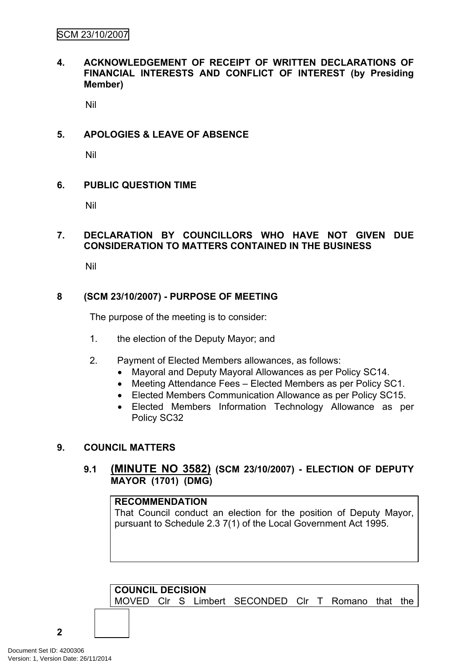## SCM 23/10/2007

#### <span id="page-3-0"></span>**4. ACKNOWLEDGEMENT OF RECEIPT OF WRITTEN DECLARATIONS OF FINANCIAL INTERESTS AND CONFLICT OF INTEREST (by Presiding Member)**

Nil

## <span id="page-3-1"></span>**5. APOLOGIES & LEAVE OF ABSENCE**

Nil

## <span id="page-3-2"></span>**6. PUBLIC QUESTION TIME**

Nil

## <span id="page-3-3"></span>**7. DECLARATION BY COUNCILLORS WHO HAVE NOT GIVEN DUE CONSIDERATION TO MATTERS CONTAINED IN THE BUSINESS**

Nil

## <span id="page-3-4"></span>**8 (SCM 23/10/2007) - PURPOSE OF MEETING**

The purpose of the meeting is to consider:

- 1. the election of the Deputy Mayor; and
- 2. Payment of Elected Members allowances, as follows:
	- Mayoral and Deputy Mayoral Allowances as per Policy SC14.
	- Meeting Attendance Fees Elected Members as per Policy SC1.
	- Elected Members Communication Allowance as per Policy SC15.
	- Elected Members Information Technology Allowance as per Policy SC32

## <span id="page-3-5"></span>**9. COUNCIL MATTERS**

## <span id="page-3-6"></span>**9.1 (MINUTE NO 3582) (SCM 23/10/2007) - ELECTION OF DEPUTY MAYOR (1701) (DMG)**

#### **RECOMMENDATION**

That Council conduct an election for the position of Deputy Mayor, pursuant to Schedule 2.3 7(1) of the Local Government Act 1995.

# **COUNCIL DECISION**

MOVED Clr S Limbert SECONDED Clr T Romano that the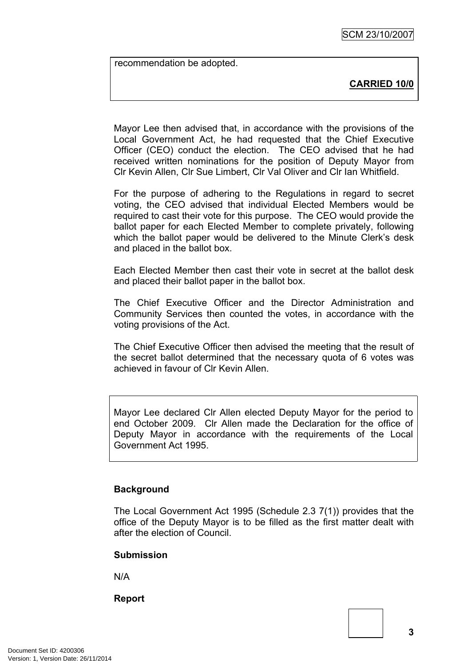recommendation be adopted.

**CARRIED 10/0**

Mayor Lee then advised that, in accordance with the provisions of the Local Government Act, he had requested that the Chief Executive Officer (CEO) conduct the election. The CEO advised that he had received written nominations for the position of Deputy Mayor from Clr Kevin Allen, Clr Sue Limbert, Clr Val Oliver and Clr Ian Whitfield.

For the purpose of adhering to the Regulations in regard to secret voting, the CEO advised that individual Elected Members would be required to cast their vote for this purpose. The CEO would provide the ballot paper for each Elected Member to complete privately, following which the ballot paper would be delivered to the Minute Clerk's desk and placed in the ballot box.

Each Elected Member then cast their vote in secret at the ballot desk and placed their ballot paper in the ballot box.

The Chief Executive Officer and the Director Administration and Community Services then counted the votes, in accordance with the voting provisions of the Act.

The Chief Executive Officer then advised the meeting that the result of the secret ballot determined that the necessary quota of 6 votes was achieved in favour of Clr Kevin Allen.

Mayor Lee declared Clr Allen elected Deputy Mayor for the period to end October 2009. Clr Allen made the Declaration for the office of Deputy Mayor in accordance with the requirements of the Local Government Act 1995.

#### **Background**

The Local Government Act 1995 (Schedule 2.3 7(1)) provides that the office of the Deputy Mayor is to be filled as the first matter dealt with after the election of Council.

#### **Submission**

N/A

**Report**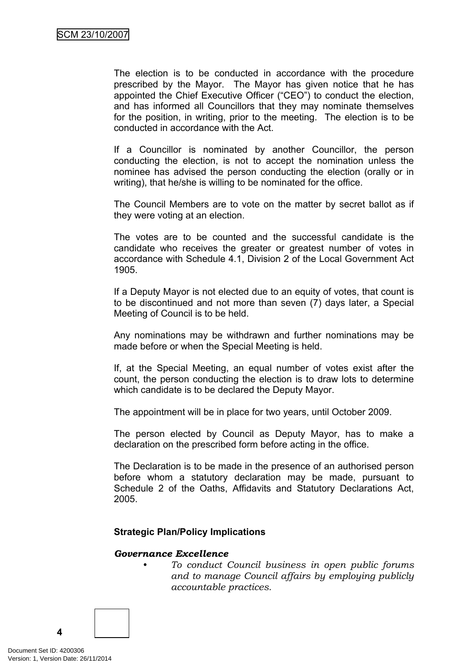The election is to be conducted in accordance with the procedure prescribed by the Mayor. The Mayor has given notice that he has appointed the Chief Executive Officer ("CEO") to conduct the election, and has informed all Councillors that they may nominate themselves for the position, in writing, prior to the meeting. The election is to be conducted in accordance with the Act.

If a Councillor is nominated by another Councillor, the person conducting the election, is not to accept the nomination unless the nominee has advised the person conducting the election (orally or in writing), that he/she is willing to be nominated for the office.

The Council Members are to vote on the matter by secret ballot as if they were voting at an election.

The votes are to be counted and the successful candidate is the candidate who receives the greater or greatest number of votes in accordance with Schedule 4.1, Division 2 of the Local Government Act 1905.

If a Deputy Mayor is not elected due to an equity of votes, that count is to be discontinued and not more than seven (7) days later, a Special Meeting of Council is to be held.

Any nominations may be withdrawn and further nominations may be made before or when the Special Meeting is held.

If, at the Special Meeting, an equal number of votes exist after the count, the person conducting the election is to draw lots to determine which candidate is to be declared the Deputy Mayor.

The appointment will be in place for two years, until October 2009.

The person elected by Council as Deputy Mayor, has to make a declaration on the prescribed form before acting in the office.

The Declaration is to be made in the presence of an authorised person before whom a statutory declaration may be made, pursuant to Schedule 2 of the Oaths, Affidavits and Statutory Declarations Act, 2005.

#### **Strategic Plan/Policy Implications**

#### *Governance Excellence*

*• To conduct Council business in open public forums and to manage Council affairs by employing publicly accountable practices.*

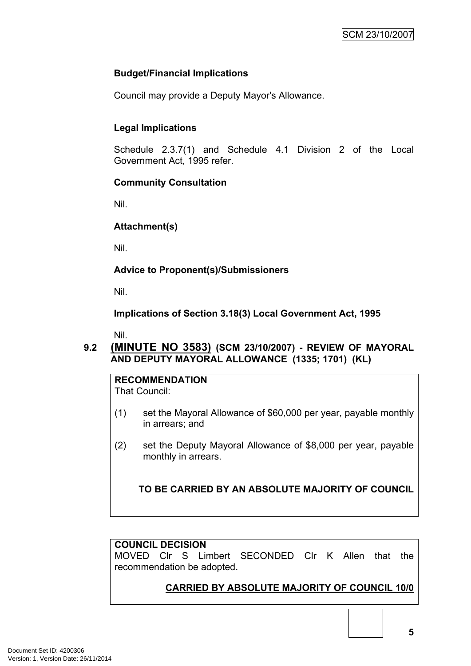## **Budget/Financial Implications**

Council may provide a Deputy Mayor's Allowance.

# **Legal Implications**

Schedule 2.3.7(1) and Schedule 4.1 Division 2 of the Local Government Act, 1995 refer.

## **Community Consultation**

Nil.

## **Attachment(s)**

Nil.

## **Advice to Proponent(s)/Submissioners**

Nil.

**Implications of Section 3.18(3) Local Government Act, 1995**

Nil.

## <span id="page-6-0"></span>**9.2 (MINUTE NO 3583) (SCM 23/10/2007) - REVIEW OF MAYORAL AND DEPUTY MAYORAL ALLOWANCE (1335; 1701) (KL)**

# **RECOMMENDATION**

That Council:

- (1) set the Mayoral Allowance of \$60,000 per year, payable monthly in arrears; and
- (2) set the Deputy Mayoral Allowance of \$8,000 per year, payable monthly in arrears.

# **TO BE CARRIED BY AN ABSOLUTE MAJORITY OF COUNCIL**

## **COUNCIL DECISION**

MOVED Clr S Limbert SECONDED Clr K Allen that the recommendation be adopted.

# **CARRIED BY ABSOLUTE MAJORITY OF COUNCIL 10/0**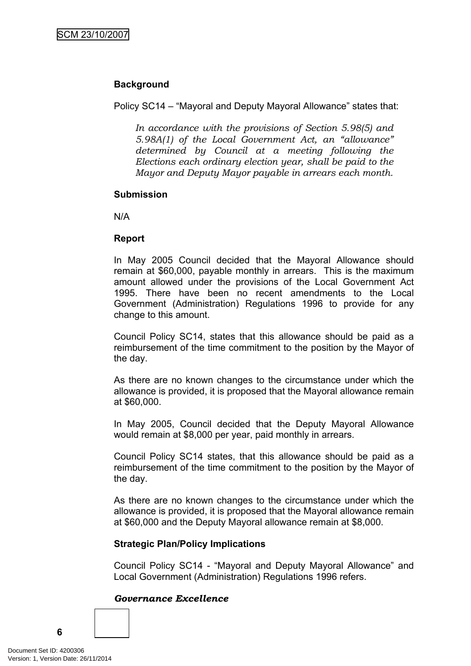## **Background**

Policy SC14 – "Mayoral and Deputy Mayoral Allowance" states that:

*In accordance with the provisions of Section 5.98(5) and 5.98A(1) of the Local Government Act, an "allowance" determined by Council at a meeting following the Elections each ordinary election year, shall be paid to the Mayor and Deputy Mayor payable in arrears each month.*

#### **Submission**

N/A

#### **Report**

In May 2005 Council decided that the Mayoral Allowance should remain at \$60,000, payable monthly in arrears. This is the maximum amount allowed under the provisions of the Local Government Act 1995. There have been no recent amendments to the Local Government (Administration) Regulations 1996 to provide for any change to this amount.

Council Policy SC14, states that this allowance should be paid as a reimbursement of the time commitment to the position by the Mayor of the day.

As there are no known changes to the circumstance under which the allowance is provided, it is proposed that the Mayoral allowance remain at \$60,000.

In May 2005, Council decided that the Deputy Mayoral Allowance would remain at \$8,000 per year, paid monthly in arrears.

Council Policy SC14 states, that this allowance should be paid as a reimbursement of the time commitment to the position by the Mayor of the day.

As there are no known changes to the circumstance under which the allowance is provided, it is proposed that the Mayoral allowance remain at \$60,000 and the Deputy Mayoral allowance remain at \$8,000.

#### **Strategic Plan/Policy Implications**

Council Policy SC14 - "Mayoral and Deputy Mayoral Allowance" and Local Government (Administration) Regulations 1996 refers.

#### *Governance Excellence*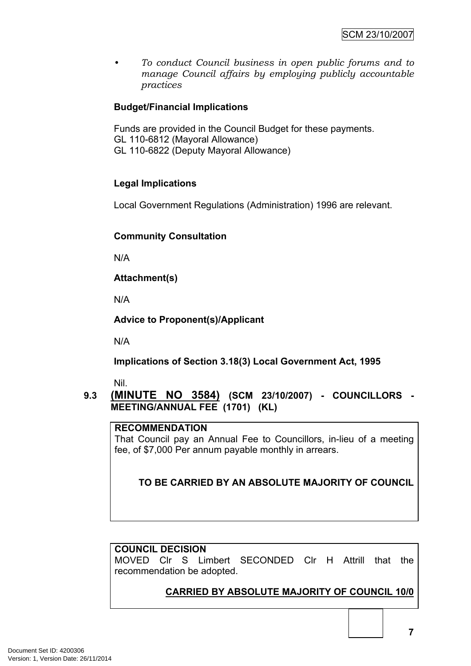*• To conduct Council business in open public forums and to manage Council affairs by employing publicly accountable practices*

## **Budget/Financial Implications**

Funds are provided in the Council Budget for these payments. GL 110-6812 (Mayoral Allowance) GL 110-6822 (Deputy Mayoral Allowance)

## **Legal Implications**

Local Government Regulations (Administration) 1996 are relevant.

## **Community Consultation**

N/A

**Attachment(s)**

N/A

**Advice to Proponent(s)/Applicant**

N/A

**Implications of Section 3.18(3) Local Government Act, 1995**

Nil.

## <span id="page-8-0"></span>**9.3 (MINUTE NO 3584) (SCM 23/10/2007) - COUNCILLORS - MEETING/ANNUAL FEE (1701) (KL)**

## **RECOMMENDATION**

That Council pay an Annual Fee to Councillors, in-lieu of a meeting fee, of \$7,000 Per annum payable monthly in arrears.

# **TO BE CARRIED BY AN ABSOLUTE MAJORITY OF COUNCIL**

# **COUNCIL DECISION**

MOVED Clr S Limbert SECONDED Clr H Attrill that the recommendation be adopted.

# **CARRIED BY ABSOLUTE MAJORITY OF COUNCIL 10/0**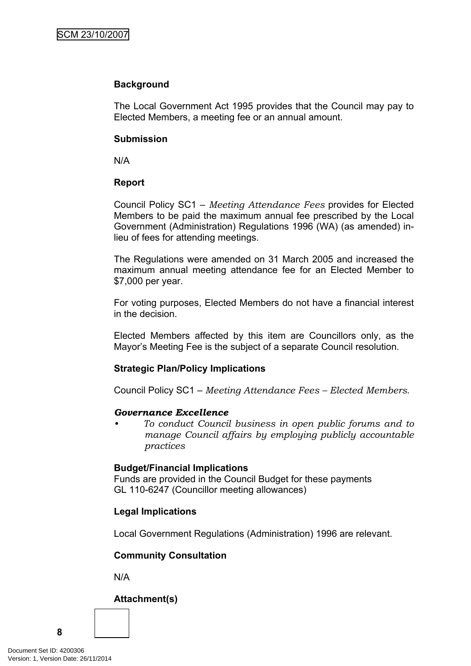## **Background**

The Local Government Act 1995 provides that the Council may pay to Elected Members, a meeting fee or an annual amount.

#### **Submission**

N/A

## **Report**

Council Policy SC1 – *Meeting Attendance Fees* provides for Elected Members to be paid the maximum annual fee prescribed by the Local Government (Administration) Regulations 1996 (WA) (as amended) inlieu of fees for attending meetings.

The Regulations were amended on 31 March 2005 and increased the maximum annual meeting attendance fee for an Elected Member to \$7,000 per year.

For voting purposes, Elected Members do not have a financial interest in the decision.

Elected Members affected by this item are Councillors only, as the Mayor's Meeting Fee is the subject of a separate Council resolution.

#### **Strategic Plan/Policy Implications**

Council Policy SC1 – *Meeting Attendance Fees – Elected Members*.

#### *Governance Excellence*

*• To conduct Council business in open public forums and to manage Council affairs by employing publicly accountable practices*

#### **Budget/Financial Implications**

Funds are provided in the Council Budget for these payments GL 110-6247 (Councillor meeting allowances)

#### **Legal Implications**

Local Government Regulations (Administration) 1996 are relevant.

#### **Community Consultation**

N/A

## **Attachment(s)**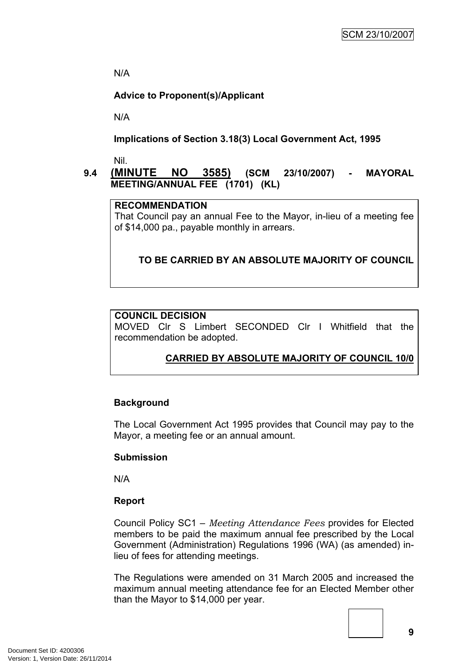N/A

# **Advice to Proponent(s)/Applicant**

N/A

## **Implications of Section 3.18(3) Local Government Act, 1995**

Nil.

## <span id="page-10-0"></span>**9.4 (MINUTE NO 3585) (SCM 23/10/2007) - MAYORAL MEETING/ANNUAL FEE (1701) (KL)**

## **RECOMMENDATION**

That Council pay an annual Fee to the Mayor, in-lieu of a meeting fee of \$14,000 pa., payable monthly in arrears.

## **TO BE CARRIED BY AN ABSOLUTE MAJORITY OF COUNCIL**

## **COUNCIL DECISION**

MOVED Clr S Limbert SECONDED Clr I Whitfield that the recommendation be adopted.

# **CARRIED BY ABSOLUTE MAJORITY OF COUNCIL 10/0**

## **Background**

The Local Government Act 1995 provides that Council may pay to the Mayor, a meeting fee or an annual amount.

#### **Submission**

N/A

#### **Report**

Council Policy SC1 – *Meeting Attendance Fees* provides for Elected members to be paid the maximum annual fee prescribed by the Local Government (Administration) Regulations 1996 (WA) (as amended) inlieu of fees for attending meetings.

The Regulations were amended on 31 March 2005 and increased the maximum annual meeting attendance fee for an Elected Member other than the Mayor to \$14,000 per year.

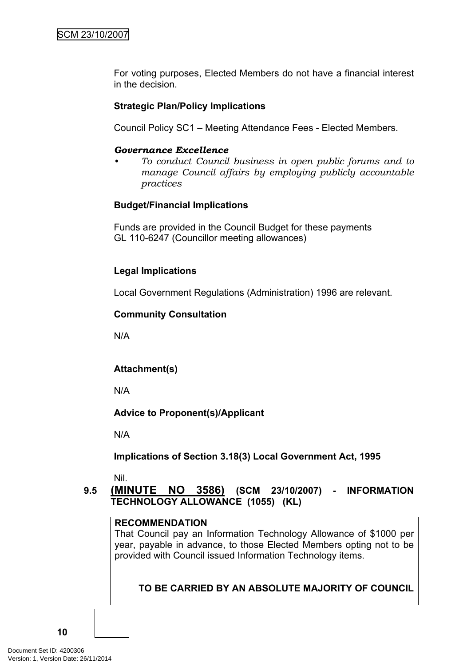For voting purposes, Elected Members do not have a financial interest in the decision.

## **Strategic Plan/Policy Implications**

Council Policy SC1 – Meeting Attendance Fees - Elected Members.

#### *Governance Excellence*

*• To conduct Council business in open public forums and to manage Council affairs by employing publicly accountable practices*

#### **Budget/Financial Implications**

Funds are provided in the Council Budget for these payments GL 110-6247 (Councillor meeting allowances)

#### **Legal Implications**

Local Government Regulations (Administration) 1996 are relevant.

#### **Community Consultation**

N/A

#### **Attachment(s)**

N/A

#### **Advice to Proponent(s)/Applicant**

N/A

**Implications of Section 3.18(3) Local Government Act, 1995**

Nil.

## <span id="page-11-0"></span>**9.5 (MINUTE NO 3586) (SCM 23/10/2007) - INFORMATION TECHNOLOGY ALLOWANCE (1055) (KL)**

#### **RECOMMENDATION**

That Council pay an Information Technology Allowance of \$1000 per year, payable in advance, to those Elected Members opting not to be provided with Council issued Information Technology items.

#### **TO BE CARRIED BY AN ABSOLUTE MAJORITY OF COUNCIL**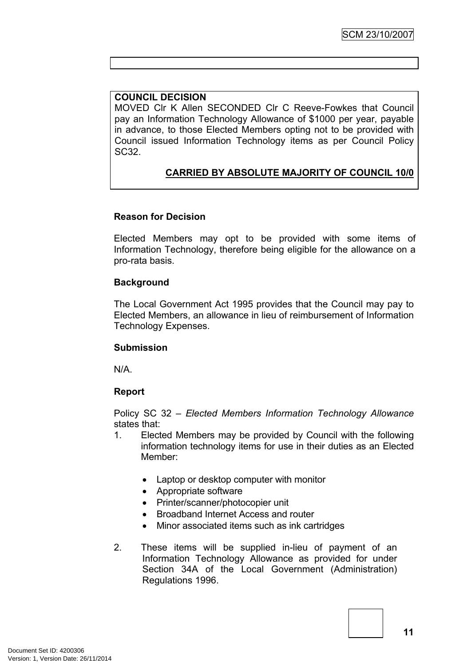## **COUNCIL DECISION**

MOVED Clr K Allen SECONDED Clr C Reeve-Fowkes that Council pay an Information Technology Allowance of \$1000 per year, payable in advance, to those Elected Members opting not to be provided with Council issued Information Technology items as per Council Policy SC32.

# **CARRIED BY ABSOLUTE MAJORITY OF COUNCIL 10/0**

## **Reason for Decision**

Elected Members may opt to be provided with some items of Information Technology, therefore being eligible for the allowance on a pro-rata basis.

## **Background**

The Local Government Act 1995 provides that the Council may pay to Elected Members, an allowance in lieu of reimbursement of Information Technology Expenses.

#### **Submission**

N/A.

## **Report**

Policy SC 32 – *Elected Members Information Technology Allowance* states that:

- 1. Elected Members may be provided by Council with the following information technology items for use in their duties as an Elected Member:
	- Laptop or desktop computer with monitor
	- Appropriate software
	- Printer/scanner/photocopier unit
	- Broadband Internet Access and router
	- Minor associated items such as ink cartridges
- 2. These items will be supplied in-lieu of payment of an Information Technology Allowance as provided for under Section 34A of the Local Government (Administration) Regulations 1996.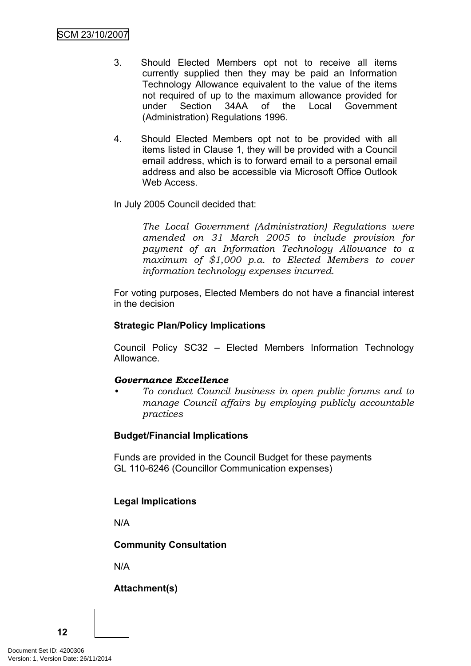- 3. Should Elected Members opt not to receive all items currently supplied then they may be paid an Information Technology Allowance equivalent to the value of the items not required of up to the maximum allowance provided for under Section 34AA of the Local Government (Administration) Regulations 1996.
- 4. Should Elected Members opt not to be provided with all items listed in Clause 1, they will be provided with a Council email address, which is to forward email to a personal email address and also be accessible via Microsoft Office Outlook Web Access.

In July 2005 Council decided that:

*The Local Government (Administration) Regulations were amended on 31 March 2005 to include provision for payment of an Information Technology Allowance to a maximum of \$1,000 p.a. to Elected Members to cover information technology expenses incurred.*

For voting purposes, Elected Members do not have a financial interest in the decision

## **Strategic Plan/Policy Implications**

Council Policy SC32 – Elected Members Information Technology Allowance.

#### *Governance Excellence*

*• To conduct Council business in open public forums and to manage Council affairs by employing publicly accountable practices*

## **Budget/Financial Implications**

Funds are provided in the Council Budget for these payments GL 110-6246 (Councillor Communication expenses)

## **Legal Implications**

N/A

**Community Consultation**

N/A

## **Attachment(s)**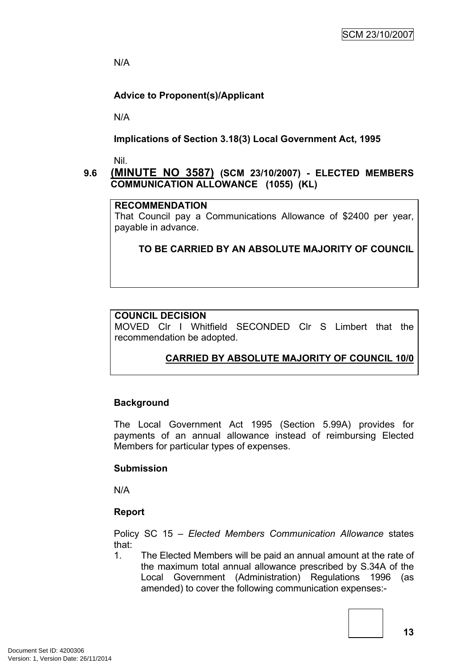N/A

# **Advice to Proponent(s)/Applicant**

N/A

**Implications of Section 3.18(3) Local Government Act, 1995**

Nil.

## <span id="page-14-0"></span>**9.6 (MINUTE NO 3587) (SCM 23/10/2007) - ELECTED MEMBERS COMMUNICATION ALLOWANCE (1055) (KL)**

## **RECOMMENDATION**

That Council pay a Communications Allowance of \$2400 per year, payable in advance.

**TO BE CARRIED BY AN ABSOLUTE MAJORITY OF COUNCIL**

## **COUNCIL DECISION**

MOVED Clr I Whitfield SECONDED Clr S Limbert that the recommendation be adopted.

# **CARRIED BY ABSOLUTE MAJORITY OF COUNCIL 10/0**

## **Background**

The Local Government Act 1995 (Section 5.99A) provides for payments of an annual allowance instead of reimbursing Elected Members for particular types of expenses.

## **Submission**

N/A

## **Report**

Policy SC 15 – *Elected Members Communication Allowance* states that:

1. The Elected Members will be paid an annual amount at the rate of the maximum total annual allowance prescribed by S.34A of the Local Government (Administration) Regulations 1996 (as amended) to cover the following communication expenses:-

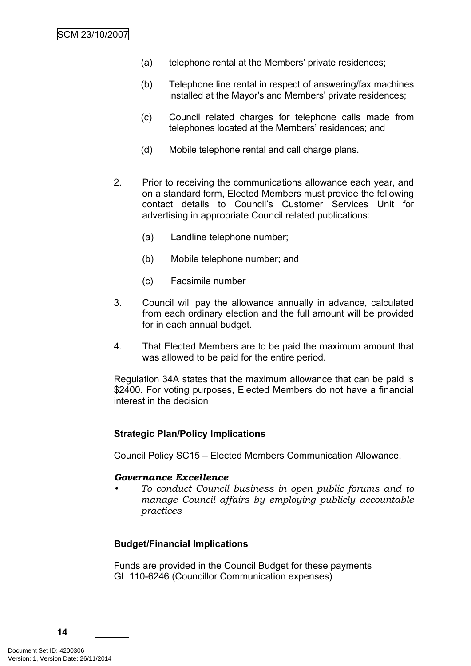- (a) telephone rental at the Members' private residences;
- (b) Telephone line rental in respect of answering/fax machines installed at the Mayor's and Members' private residences;
- (c) Council related charges for telephone calls made from telephones located at the Members' residences; and
- (d) Mobile telephone rental and call charge plans.
- 2. Prior to receiving the communications allowance each year, and on a standard form, Elected Members must provide the following contact details to Council's Customer Services Unit for advertising in appropriate Council related publications:
	- (a) Landline telephone number;
	- (b) Mobile telephone number; and
	- (c) Facsimile number
- 3. Council will pay the allowance annually in advance, calculated from each ordinary election and the full amount will be provided for in each annual budget.
- 4. That Elected Members are to be paid the maximum amount that was allowed to be paid for the entire period.

Regulation 34A states that the maximum allowance that can be paid is \$2400. For voting purposes, Elected Members do not have a financial interest in the decision

#### **Strategic Plan/Policy Implications**

Council Policy SC15 – Elected Members Communication Allowance.

#### *Governance Excellence*

*• To conduct Council business in open public forums and to manage Council affairs by employing publicly accountable practices*

#### **Budget/Financial Implications**

Funds are provided in the Council Budget for these payments GL 110-6246 (Councillor Communication expenses)

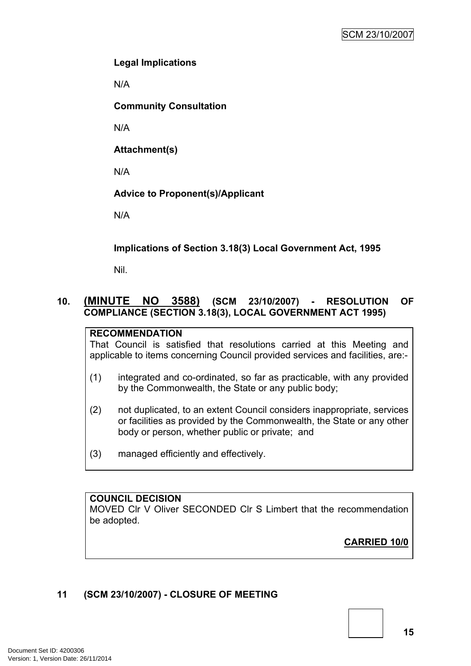## **Legal Implications**

N/A

**Community Consultation**

N/A

**Attachment(s)**

N/A

# **Advice to Proponent(s)/Applicant**

N/A

**Implications of Section 3.18(3) Local Government Act, 1995**

Nil.

## <span id="page-16-0"></span>**10. (MINUTE NO 3588) (SCM 23/10/2007) - RESOLUTION OF COMPLIANCE (SECTION 3.18(3), LOCAL GOVERNMENT ACT 1995)**

## **RECOMMENDATION**

That Council is satisfied that resolutions carried at this Meeting and applicable to items concerning Council provided services and facilities, are:-

- (1) integrated and co-ordinated, so far as practicable, with any provided by the Commonwealth, the State or any public body;
- (2) not duplicated, to an extent Council considers inappropriate, services or facilities as provided by the Commonwealth, the State or any other body or person, whether public or private; and
- (3) managed efficiently and effectively.

#### **COUNCIL DECISION** MOVED Clr V Oliver SECONDED Clr S Limbert that the recommendation be adopted.

**CARRIED 10/0**

# <span id="page-16-1"></span>**11 (SCM 23/10/2007) - CLOSURE OF MEETING**